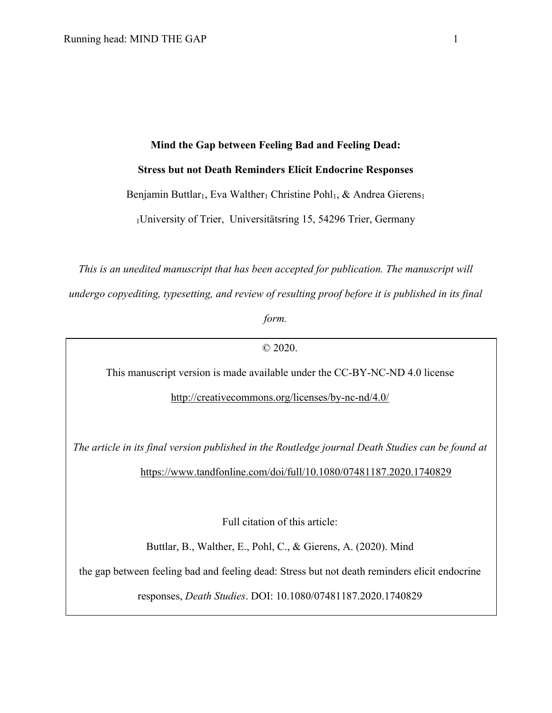## **Mind the Gap between Feeling Bad and Feeling Dead:**

## **Stress but not Death Reminders Elicit Endocrine Responses**

Benjamin Buttlar<sub>1</sub>, Eva Walther<sub>1</sub> Christine Pohl<sub>1</sub>, & Andrea Gierens<sub>1</sub>

1University of Trier, Universitätsring 15, 54296 Trier, Germany

*This is an unedited manuscript that has been accepted for publication. The manuscript will undergo copyediting, typesetting, and review of resulting proof before it is published in its final* 

*form.*

© 2020.

This manuscript version is made available under the CC-BY-NC-ND 4.0 license

http://creativecommons.org/licenses/by-nc-nd/4.0/

*The article in its final version published in the Routledge journal Death Studies can be found at*

https://www.tandfonline.com/doi/full/10.1080/07481187.2020.1740829

Full citation of this article:

Buttlar, B., Walther, E., Pohl, C., & Gierens, A. (2020). Mind

the gap between feeling bad and feeling dead: Stress but not death reminders elicit endocrine

responses, *Death Studies*. DOI: 10.1080/07481187.2020.1740829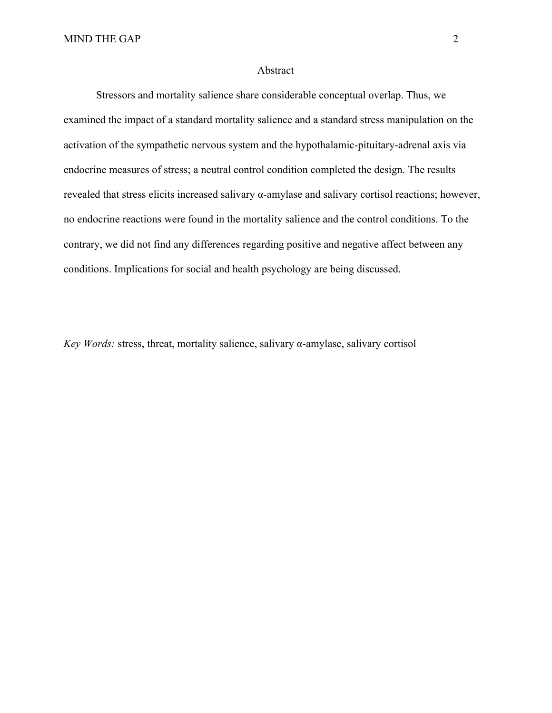## Abstract

Stressors and mortality salience share considerable conceptual overlap. Thus, we examined the impact of a standard mortality salience and a standard stress manipulation on the activation of the sympathetic nervous system and the hypothalamic-pituitary-adrenal axis via endocrine measures of stress; a neutral control condition completed the design. The results revealed that stress elicits increased salivary α-amylase and salivary cortisol reactions; however, no endocrine reactions were found in the mortality salience and the control conditions. To the contrary, we did not find any differences regarding positive and negative affect between any conditions. Implications for social and health psychology are being discussed.

*Key Words:* stress, threat, mortality salience, salivary α-amylase, salivary cortisol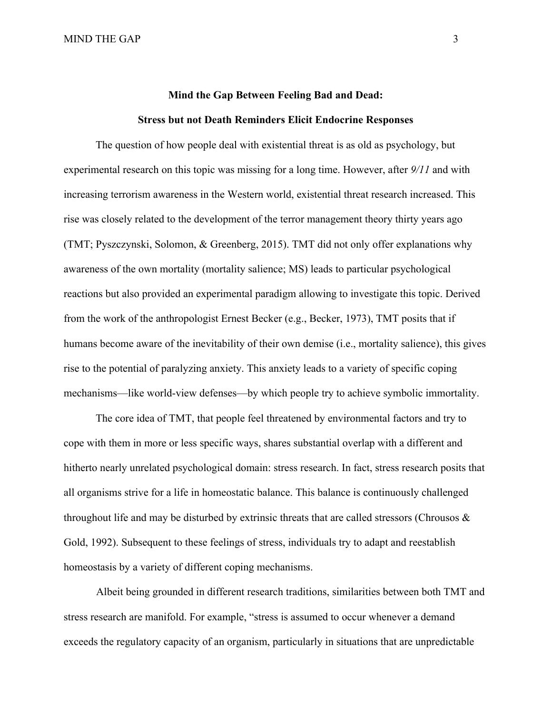# **Mind the Gap Between Feeling Bad and Dead: Stress but not Death Reminders Elicit Endocrine Responses**

The question of how people deal with existential threat is as old as psychology, but experimental research on this topic was missing for a long time. However, after *9/11* and with increasing terrorism awareness in the Western world, existential threat research increased. This rise was closely related to the development of the terror management theory thirty years ago (TMT; Pyszczynski, Solomon, & Greenberg, 2015). TMT did not only offer explanations why awareness of the own mortality (mortality salience; MS) leads to particular psychological reactions but also provided an experimental paradigm allowing to investigate this topic. Derived from the work of the anthropologist Ernest Becker (e.g., Becker, 1973), TMT posits that if humans become aware of the inevitability of their own demise (i.e., mortality salience), this gives rise to the potential of paralyzing anxiety. This anxiety leads to a variety of specific coping mechanisms—like world-view defenses—by which people try to achieve symbolic immortality.

The core idea of TMT, that people feel threatened by environmental factors and try to cope with them in more or less specific ways, shares substantial overlap with a different and hitherto nearly unrelated psychological domain: stress research. In fact, stress research posits that all organisms strive for a life in homeostatic balance. This balance is continuously challenged throughout life and may be disturbed by extrinsic threats that are called stressors (Chrousos & Gold, 1992). Subsequent to these feelings of stress, individuals try to adapt and reestablish homeostasis by a variety of different coping mechanisms.

Albeit being grounded in different research traditions, similarities between both TMT and stress research are manifold. For example, "stress is assumed to occur whenever a demand exceeds the regulatory capacity of an organism, particularly in situations that are unpredictable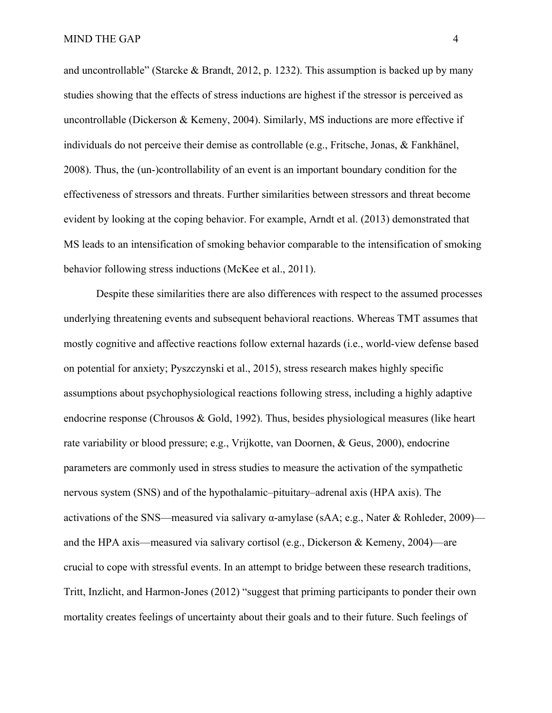and uncontrollable" (Starcke & Brandt, 2012, p. 1232). This assumption is backed up by many studies showing that the effects of stress inductions are highest if the stressor is perceived as uncontrollable (Dickerson & Kemeny, 2004). Similarly, MS inductions are more effective if individuals do not perceive their demise as controllable (e.g., Fritsche, Jonas, & Fankhänel, 2008). Thus, the (un-)controllability of an event is an important boundary condition for the effectiveness of stressors and threats. Further similarities between stressors and threat become evident by looking at the coping behavior. For example, Arndt et al. (2013) demonstrated that MS leads to an intensification of smoking behavior comparable to the intensification of smoking behavior following stress inductions (McKee et al., 2011).

Despite these similarities there are also differences with respect to the assumed processes underlying threatening events and subsequent behavioral reactions. Whereas TMT assumes that mostly cognitive and affective reactions follow external hazards (i.e., world-view defense based on potential for anxiety; Pyszczynski et al., 2015), stress research makes highly specific assumptions about psychophysiological reactions following stress, including a highly adaptive endocrine response (Chrousos & Gold, 1992). Thus, besides physiological measures (like heart rate variability or blood pressure; e.g., Vrijkotte, van Doornen, & Geus, 2000), endocrine parameters are commonly used in stress studies to measure the activation of the sympathetic nervous system (SNS) and of the hypothalamic–pituitary–adrenal axis (HPA axis). The activations of the SNS—measured via salivary α-amylase (sAA; e.g., Nater & Rohleder, 2009) and the HPA axis—measured via salivary cortisol (e.g., Dickerson & Kemeny, 2004)—are crucial to cope with stressful events. In an attempt to bridge between these research traditions, Tritt, Inzlicht, and Harmon-Jones (2012) "suggest that priming participants to ponder their own mortality creates feelings of uncertainty about their goals and to their future. Such feelings of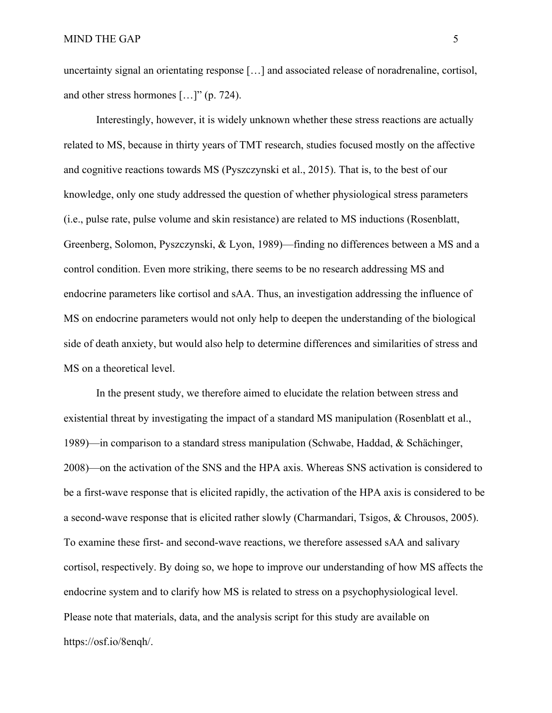uncertainty signal an orientating response […] and associated release of noradrenaline, cortisol, and other stress hormones […]" (p. 724).

Interestingly, however, it is widely unknown whether these stress reactions are actually related to MS, because in thirty years of TMT research, studies focused mostly on the affective and cognitive reactions towards MS (Pyszczynski et al., 2015). That is, to the best of our knowledge, only one study addressed the question of whether physiological stress parameters (i.e., pulse rate, pulse volume and skin resistance) are related to MS inductions (Rosenblatt, Greenberg, Solomon, Pyszczynski, & Lyon, 1989)—finding no differences between a MS and a control condition. Even more striking, there seems to be no research addressing MS and endocrine parameters like cortisol and sAA. Thus, an investigation addressing the influence of MS on endocrine parameters would not only help to deepen the understanding of the biological side of death anxiety, but would also help to determine differences and similarities of stress and MS on a theoretical level.

In the present study, we therefore aimed to elucidate the relation between stress and existential threat by investigating the impact of a standard MS manipulation (Rosenblatt et al., 1989)—in comparison to a standard stress manipulation (Schwabe, Haddad, & Schächinger, 2008)—on the activation of the SNS and the HPA axis. Whereas SNS activation is considered to be a first-wave response that is elicited rapidly, the activation of the HPA axis is considered to be a second-wave response that is elicited rather slowly (Charmandari, Tsigos, & Chrousos, 2005). To examine these first- and second-wave reactions, we therefore assessed sAA and salivary cortisol, respectively. By doing so, we hope to improve our understanding of how MS affects the endocrine system and to clarify how MS is related to stress on a psychophysiological level. Please note that materials, data, and the analysis script for this study are available on https://osf.io/8enqh/.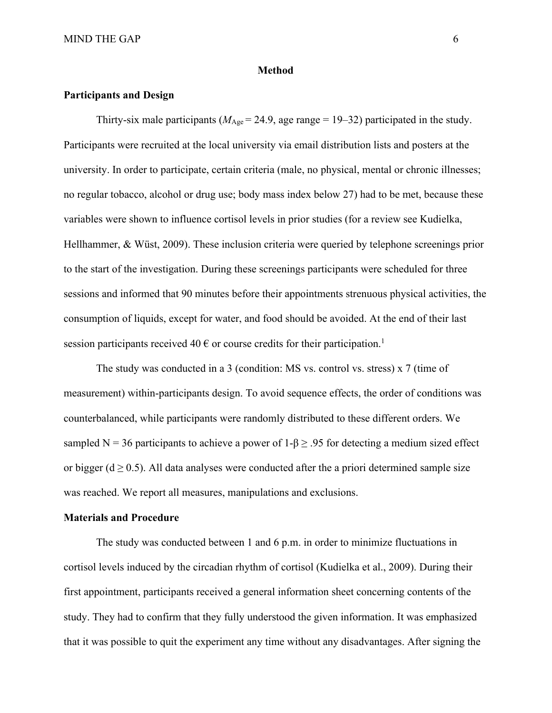#### **Method**

#### **Participants and Design**

Thirty-six male participants ( $M_{\text{Age}} = 24.9$ , age range = 19–32) participated in the study. Participants were recruited at the local university via email distribution lists and posters at the university. In order to participate, certain criteria (male, no physical, mental or chronic illnesses; no regular tobacco, alcohol or drug use; body mass index below 27) had to be met, because these variables were shown to influence cortisol levels in prior studies (for a review see Kudielka, Hellhammer, & Wüst, 2009). These inclusion criteria were queried by telephone screenings prior to the start of the investigation. During these screenings participants were scheduled for three sessions and informed that 90 minutes before their appointments strenuous physical activities, the consumption of liquids, except for water, and food should be avoided. At the end of their last session participants received 40  $\epsilon$  or course credits for their participation.<sup>1</sup>

The study was conducted in a 3 (condition: MS vs. control vs. stress) x 7 (time of measurement) within-participants design. To avoid sequence effects, the order of conditions was counterbalanced, while participants were randomly distributed to these different orders. We sampled N = 36 participants to achieve a power of  $1-\beta \geq .95$  for detecting a medium sized effect or bigger ( $d \ge 0.5$ ). All data analyses were conducted after the a priori determined sample size was reached. We report all measures, manipulations and exclusions.

## **Materials and Procedure**

The study was conducted between 1 and 6 p.m. in order to minimize fluctuations in cortisol levels induced by the circadian rhythm of cortisol (Kudielka et al., 2009). During their first appointment, participants received a general information sheet concerning contents of the study. They had to confirm that they fully understood the given information. It was emphasized that it was possible to quit the experiment any time without any disadvantages. After signing the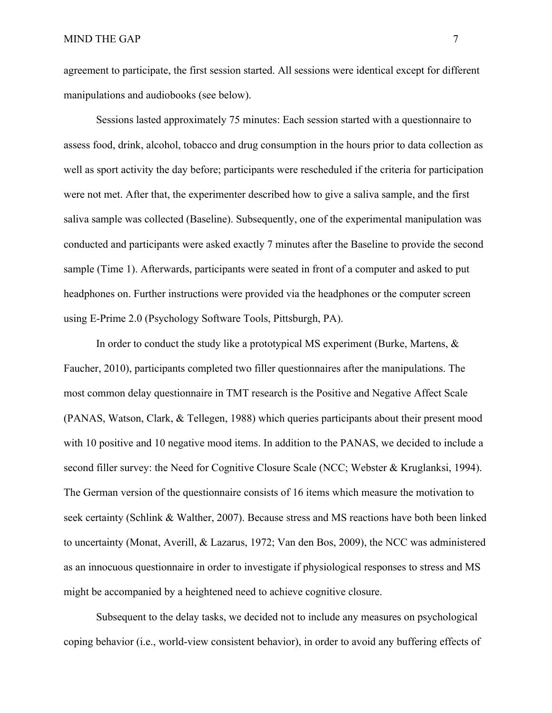agreement to participate, the first session started. All sessions were identical except for different manipulations and audiobooks (see below).

Sessions lasted approximately 75 minutes: Each session started with a questionnaire to assess food, drink, alcohol, tobacco and drug consumption in the hours prior to data collection as well as sport activity the day before; participants were rescheduled if the criteria for participation were not met. After that, the experimenter described how to give a saliva sample, and the first saliva sample was collected (Baseline). Subsequently, one of the experimental manipulation was conducted and participants were asked exactly 7 minutes after the Baseline to provide the second sample (Time 1). Afterwards, participants were seated in front of a computer and asked to put headphones on. Further instructions were provided via the headphones or the computer screen using E-Prime 2.0 (Psychology Software Tools, Pittsburgh, PA).

In order to conduct the study like a prototypical MS experiment (Burke, Martens, & Faucher, 2010), participants completed two filler questionnaires after the manipulations. The most common delay questionnaire in TMT research is the Positive and Negative Affect Scale (PANAS, Watson, Clark, & Tellegen, 1988) which queries participants about their present mood with 10 positive and 10 negative mood items. In addition to the PANAS, we decided to include a second filler survey: the Need for Cognitive Closure Scale (NCC; Webster & Kruglanksi, 1994). The German version of the questionnaire consists of 16 items which measure the motivation to seek certainty (Schlink & Walther, 2007). Because stress and MS reactions have both been linked to uncertainty (Monat, Averill, & Lazarus, 1972; Van den Bos, 2009), the NCC was administered as an innocuous questionnaire in order to investigate if physiological responses to stress and MS might be accompanied by a heightened need to achieve cognitive closure.

Subsequent to the delay tasks, we decided not to include any measures on psychological coping behavior (i.e., world-view consistent behavior), in order to avoid any buffering effects of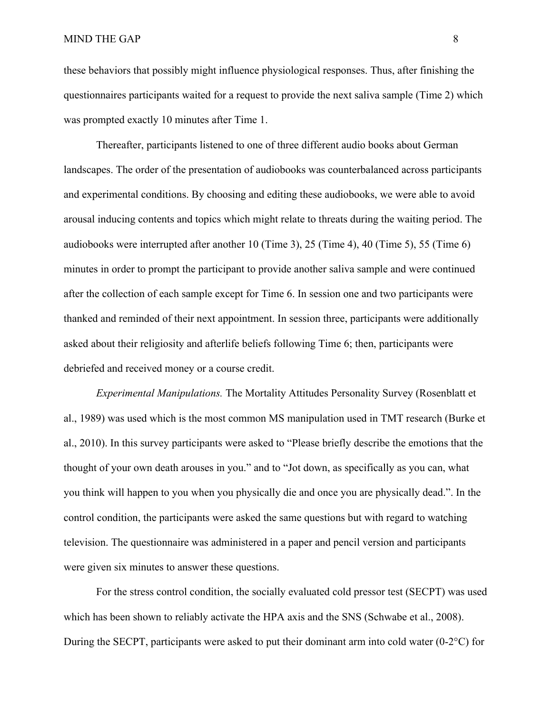these behaviors that possibly might influence physiological responses. Thus, after finishing the questionnaires participants waited for a request to provide the next saliva sample (Time 2) which was prompted exactly 10 minutes after Time 1.

Thereafter, participants listened to one of three different audio books about German landscapes. The order of the presentation of audiobooks was counterbalanced across participants and experimental conditions. By choosing and editing these audiobooks, we were able to avoid arousal inducing contents and topics which might relate to threats during the waiting period. The audiobooks were interrupted after another 10 (Time 3), 25 (Time 4), 40 (Time 5), 55 (Time 6) minutes in order to prompt the participant to provide another saliva sample and were continued after the collection of each sample except for Time 6. In session one and two participants were thanked and reminded of their next appointment. In session three, participants were additionally asked about their religiosity and afterlife beliefs following Time 6; then, participants were debriefed and received money or a course credit.

*Experimental Manipulations.* The Mortality Attitudes Personality Survey (Rosenblatt et al., 1989) was used which is the most common MS manipulation used in TMT research (Burke et al., 2010). In this survey participants were asked to "Please briefly describe the emotions that the thought of your own death arouses in you." and to "Jot down, as specifically as you can, what you think will happen to you when you physically die and once you are physically dead.". In the control condition, the participants were asked the same questions but with regard to watching television. The questionnaire was administered in a paper and pencil version and participants were given six minutes to answer these questions.

For the stress control condition, the socially evaluated cold pressor test (SECPT) was used which has been shown to reliably activate the HPA axis and the SNS (Schwabe et al., 2008). During the SECPT, participants were asked to put their dominant arm into cold water  $(0-2^{\circ}C)$  for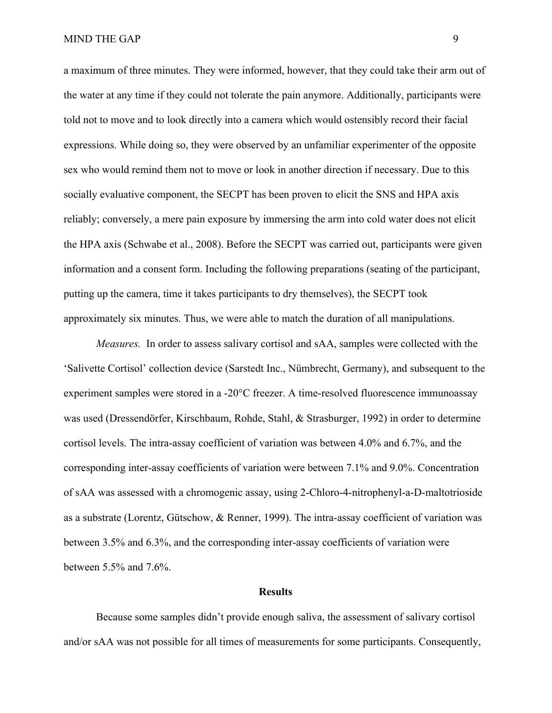a maximum of three minutes. They were informed, however, that they could take their arm out of the water at any time if they could not tolerate the pain anymore. Additionally, participants were told not to move and to look directly into a camera which would ostensibly record their facial expressions. While doing so, they were observed by an unfamiliar experimenter of the opposite sex who would remind them not to move or look in another direction if necessary. Due to this socially evaluative component, the SECPT has been proven to elicit the SNS and HPA axis reliably; conversely, a mere pain exposure by immersing the arm into cold water does not elicit the HPA axis (Schwabe et al., 2008). Before the SECPT was carried out, participants were given information and a consent form. Including the following preparations (seating of the participant, putting up the camera, time it takes participants to dry themselves), the SECPT took approximately six minutes. Thus, we were able to match the duration of all manipulations.

*Measures.*In order to assess salivary cortisol and sAA, samples were collected with the 'Salivette Cortisol' collection device (Sarstedt Inc., Nümbrecht, Germany), and subsequent to the experiment samples were stored in a -20°C freezer. A time-resolved fluorescence immunoassay was used (Dressendörfer, Kirschbaum, Rohde, Stahl, & Strasburger, 1992) in order to determine cortisol levels. The intra-assay coefficient of variation was between 4.0% and 6.7%, and the corresponding inter-assay coefficients of variation were between 7.1% and 9.0%. Concentration of sAA was assessed with a chromogenic assay, using 2-Chloro-4-nitrophenyl-a-D-maltotrioside as a substrate (Lorentz, Gütschow, & Renner, 1999). The intra-assay coefficient of variation was between 3.5% and 6.3%, and the corresponding inter-assay coefficients of variation were between 5.5% and 7.6%.

## **Results**

Because some samples didn't provide enough saliva, the assessment of salivary cortisol and/or sAA was not possible for all times of measurements for some participants. Consequently,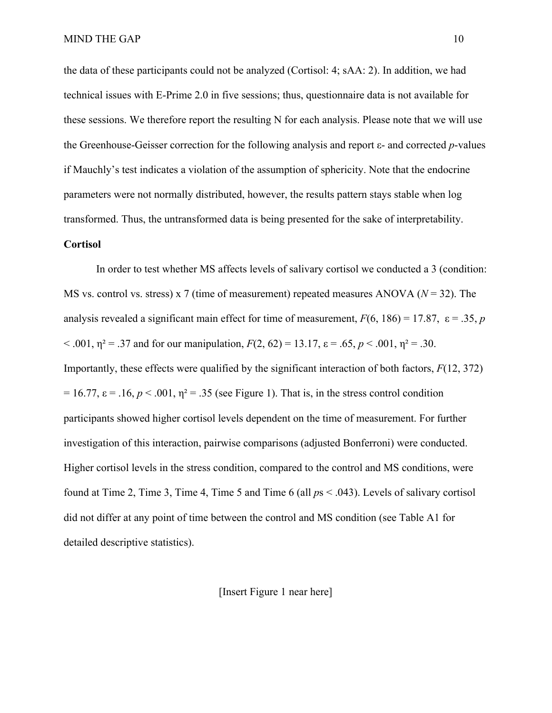the data of these participants could not be analyzed (Cortisol: 4; sAA: 2). In addition, we had technical issues with E-Prime 2.0 in five sessions; thus, questionnaire data is not available for these sessions. We therefore report the resulting N for each analysis. Please note that we will use the Greenhouse-Geisser correction for the following analysis and report ε- and corrected *p*-values if Mauchly's test indicates a violation of the assumption of sphericity. Note that the endocrine parameters were not normally distributed, however, the results pattern stays stable when log transformed. Thus, the untransformed data is being presented for the sake of interpretability.

## **Cortisol**

In order to test whether MS affects levels of salivary cortisol we conducted a 3 (condition: MS vs. control vs. stress) x 7 (time of measurement) repeated measures ANOVA (*N* = 32). The analysis revealed a significant main effect for time of measurement,  $F(6, 186) = 17.87$ ,  $\varepsilon = .35$ , *p*  $< .001$ ,  $\eta^2 = .37$  and for our manipulation,  $F(2, 62) = 13.17$ ,  $\varepsilon = .65$ ,  $p < .001$ ,  $\eta^2 = .30$ . Importantly, these effects were qualified by the significant interaction of both factors, *F*(12, 372)  $= 16.77$ ,  $\varepsilon = .16$ ,  $p < .001$ ,  $\eta^2 = .35$  (see Figure 1). That is, in the stress control condition participants showed higher cortisol levels dependent on the time of measurement. For further investigation of this interaction, pairwise comparisons (adjusted Bonferroni) were conducted. Higher cortisol levels in the stress condition, compared to the control and MS conditions, were found at Time 2, Time 3, Time 4, Time 5 and Time 6 (all *p*s < .043). Levels of salivary cortisol did not differ at any point of time between the control and MS condition (see Table A1 for detailed descriptive statistics).

[Insert Figure 1 near here]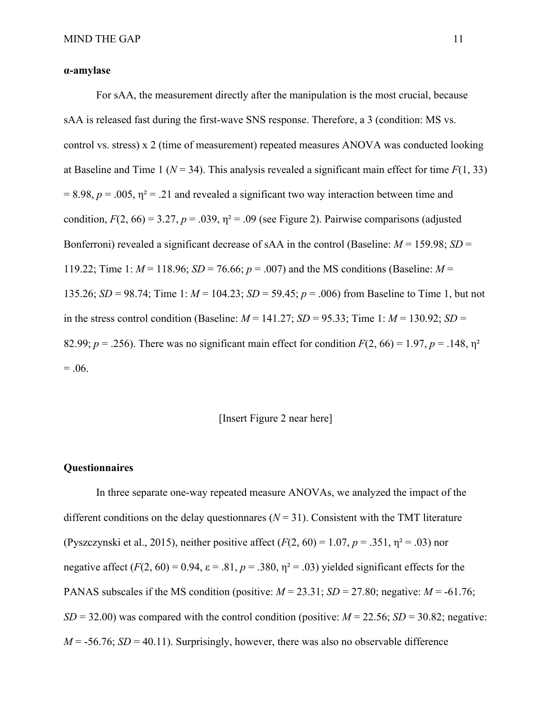## **α-amylase**

For sAA, the measurement directly after the manipulation is the most crucial, because sAA is released fast during the first-wave SNS response. Therefore, a 3 (condition: MS vs. control vs. stress) x 2 (time of measurement) repeated measures ANOVA was conducted looking at Baseline and Time 1 ( $N = 34$ ). This analysis revealed a significant main effect for time  $F(1, 33)$  $= 8.98$ ,  $p = .005$ ,  $\eta^2 = .21$  and revealed a significant two way interaction between time and condition,  $F(2, 66) = 3.27$ ,  $p = .039$ ,  $\eta^2 = .09$  (see Figure 2). Pairwise comparisons (adjusted Bonferroni) revealed a significant decrease of sAA in the control (Baseline: *M* = 159.98; *SD* = 119.22; Time 1:  $M = 118.96$ ;  $SD = 76.66$ ;  $p = .007$ ) and the MS conditions (Baseline:  $M =$ 135.26; *SD* = 98.74; Time 1: *M* = 104.23; *SD* = 59.45; *p* = .006) from Baseline to Time 1, but not in the stress control condition (Baseline:  $M = 141.27$ ;  $SD = 95.33$ ; Time 1:  $M = 130.92$ ;  $SD =$ 82.99;  $p = 0.256$ ). There was no significant main effect for condition  $F(2, 66) = 1.97$ ,  $p = 0.148$ ,  $p^2 = 0.148$  $= .06.$ 

## [Insert Figure 2 near here]

### **Questionnaires**

In three separate one-way repeated measure ANOVAs, we analyzed the impact of the different conditions on the delay questionnares  $(N = 31)$ . Consistent with the TMT literature (Pyszczynski et al., 2015), neither positive affect (*F*(2, 60) = 1.07, *p* = .351, η² = .03) nor negative affect  $(F(2, 60) = 0.94, \varepsilon = .81, p = .380, \eta^2 = .03)$  yielded significant effects for the PANAS subscales if the MS condition (positive:  $M = 23.31$ ;  $SD = 27.80$ ; negative:  $M = -61.76$ ;  $SD = 32.00$ ) was compared with the control condition (positive:  $M = 22.56$ ;  $SD = 30.82$ ; negative:  $M = -56.76$ ; *SD* = 40.11). Surprisingly, however, there was also no observable difference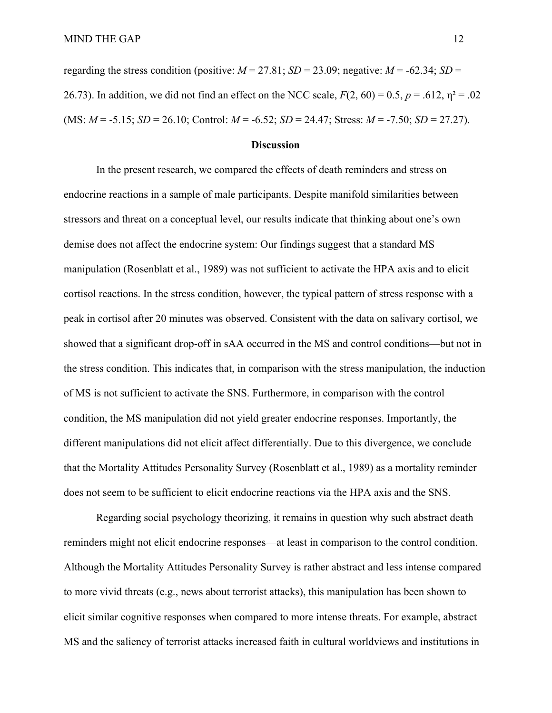regarding the stress condition (positive:  $M = 27.81$ ;  $SD = 23.09$ ; negative:  $M = -62.34$ ;  $SD =$ 26.73). In addition, we did not find an effect on the NCC scale,  $F(2, 60) = 0.5$ ,  $p = .612$ ,  $p^2 = .02$ (MS: *M* = -5.15; *SD* = 26.10; Control: *M* = -6.52; *SD* = 24.47; Stress: *M* = -7.50; *SD* = 27.27).

#### **Discussion**

In the present research, we compared the effects of death reminders and stress on endocrine reactions in a sample of male participants. Despite manifold similarities between stressors and threat on a conceptual level, our results indicate that thinking about one's own demise does not affect the endocrine system: Our findings suggest that a standard MS manipulation (Rosenblatt et al., 1989) was not sufficient to activate the HPA axis and to elicit cortisol reactions. In the stress condition, however, the typical pattern of stress response with a peak in cortisol after 20 minutes was observed. Consistent with the data on salivary cortisol, we showed that a significant drop-off in sAA occurred in the MS and control conditions—but not in the stress condition. This indicates that, in comparison with the stress manipulation, the induction of MS is not sufficient to activate the SNS. Furthermore, in comparison with the control condition, the MS manipulation did not yield greater endocrine responses. Importantly, the different manipulations did not elicit affect differentially. Due to this divergence, we conclude that the Mortality Attitudes Personality Survey (Rosenblatt et al., 1989) as a mortality reminder does not seem to be sufficient to elicit endocrine reactions via the HPA axis and the SNS.

Regarding social psychology theorizing, it remains in question why such abstract death reminders might not elicit endocrine responses—at least in comparison to the control condition. Although the Mortality Attitudes Personality Survey is rather abstract and less intense compared to more vivid threats (e.g., news about terrorist attacks), this manipulation has been shown to elicit similar cognitive responses when compared to more intense threats. For example, abstract MS and the saliency of terrorist attacks increased faith in cultural worldviews and institutions in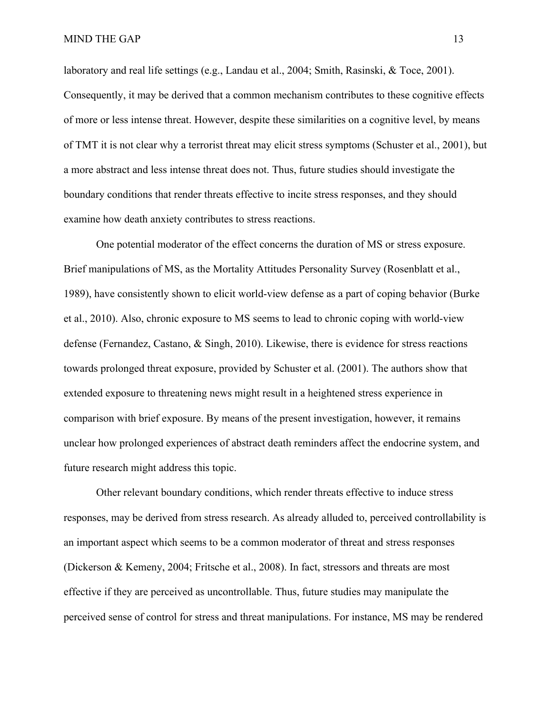laboratory and real life settings (e.g., Landau et al., 2004; Smith, Rasinski, & Toce, 2001). Consequently, it may be derived that a common mechanism contributes to these cognitive effects of more or less intense threat. However, despite these similarities on a cognitive level, by means of TMT it is not clear why a terrorist threat may elicit stress symptoms (Schuster et al., 2001), but a more abstract and less intense threat does not. Thus, future studies should investigate the boundary conditions that render threats effective to incite stress responses, and they should examine how death anxiety contributes to stress reactions.

One potential moderator of the effect concerns the duration of MS or stress exposure. Brief manipulations of MS, as the Mortality Attitudes Personality Survey (Rosenblatt et al., 1989), have consistently shown to elicit world-view defense as a part of coping behavior (Burke et al., 2010). Also, chronic exposure to MS seems to lead to chronic coping with world-view defense (Fernandez, Castano, & Singh, 2010). Likewise, there is evidence for stress reactions towards prolonged threat exposure, provided by Schuster et al. (2001). The authors show that extended exposure to threatening news might result in a heightened stress experience in comparison with brief exposure. By means of the present investigation, however, it remains unclear how prolonged experiences of abstract death reminders affect the endocrine system, and future research might address this topic.

Other relevant boundary conditions, which render threats effective to induce stress responses, may be derived from stress research. As already alluded to, perceived controllability is an important aspect which seems to be a common moderator of threat and stress responses (Dickerson & Kemeny, 2004; Fritsche et al., 2008). In fact, stressors and threats are most effective if they are perceived as uncontrollable. Thus, future studies may manipulate the perceived sense of control for stress and threat manipulations. For instance, MS may be rendered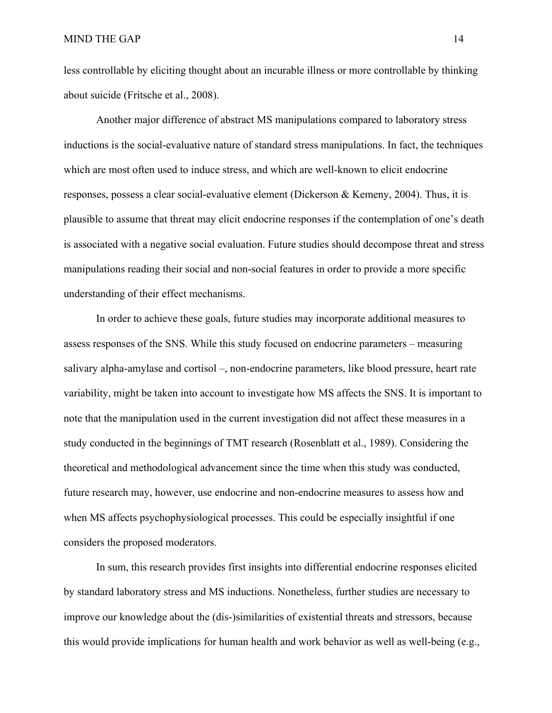less controllable by eliciting thought about an incurable illness or more controllable by thinking about suicide (Fritsche et al., 2008).

Another major difference of abstract MS manipulations compared to laboratory stress inductions is the social-evaluative nature of standard stress manipulations. In fact, the techniques which are most often used to induce stress, and which are well-known to elicit endocrine responses, possess a clear social-evaluative element (Dickerson & Kemeny, 2004). Thus, it is plausible to assume that threat may elicit endocrine responses if the contemplation of one's death is associated with a negative social evaluation. Future studies should decompose threat and stress manipulations reading their social and non-social features in order to provide a more specific understanding of their effect mechanisms.

In order to achieve these goals, future studies may incorporate additional measures to assess responses of the SNS. While this study focused on endocrine parameters – measuring salivary alpha-amylase and cortisol –, non-endocrine parameters, like blood pressure, heart rate variability, might be taken into account to investigate how MS affects the SNS. It is important to note that the manipulation used in the current investigation did not affect these measures in a study conducted in the beginnings of TMT research (Rosenblatt et al., 1989). Considering the theoretical and methodological advancement since the time when this study was conducted, future research may, however, use endocrine and non-endocrine measures to assess how and when MS affects psychophysiological processes. This could be especially insightful if one considers the proposed moderators.

In sum, this research provides first insights into differential endocrine responses elicited by standard laboratory stress and MS inductions. Nonetheless, further studies are necessary to improve our knowledge about the (dis-)similarities of existential threats and stressors, because this would provide implications for human health and work behavior as well as well-being  $(e.g.,)$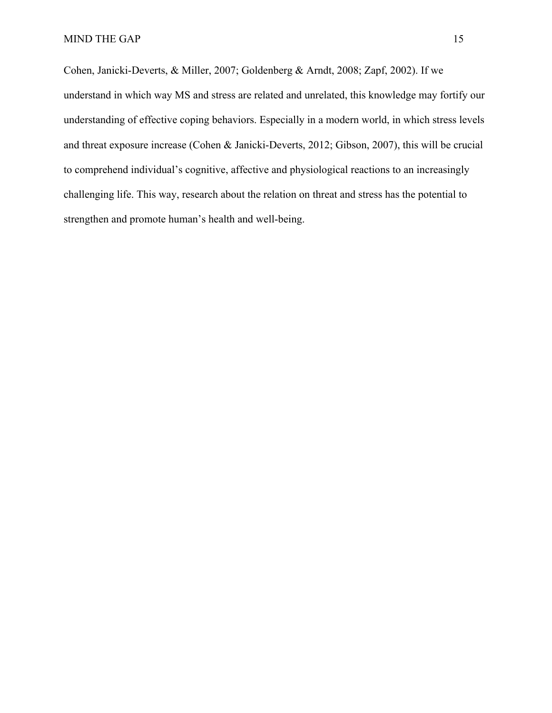Cohen, Janicki-Deverts, & Miller, 2007; Goldenberg & Arndt, 2008; Zapf, 2002). If we understand in which way MS and stress are related and unrelated, this knowledge may fortify our understanding of effective coping behaviors. Especially in a modern world, in which stress levels and threat exposure increase (Cohen & Janicki-Deverts, 2012; Gibson, 2007), this will be crucial to comprehend individual's cognitive, affective and physiological reactions to an increasingly challenging life. This way, research about the relation on threat and stress has the potential to strengthen and promote human's health and well-being.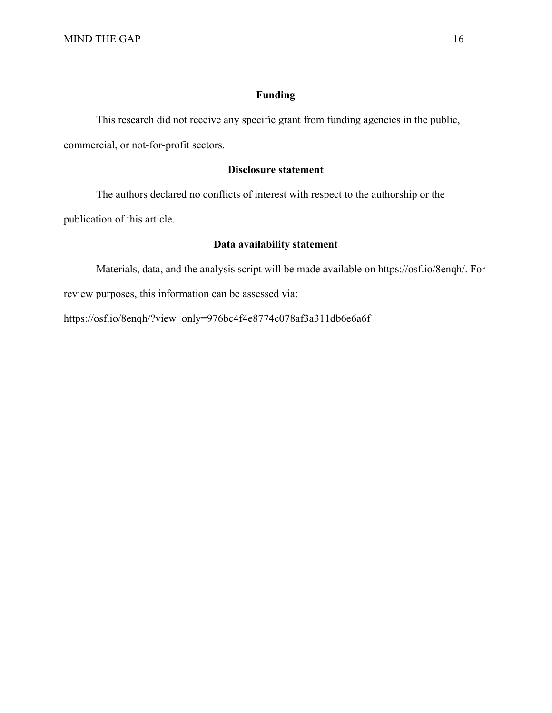## **Funding**

This research did not receive any specific grant from funding agencies in the public,

commercial, or not-for-profit sectors.

## **Disclosure statement**

The authors declared no conflicts of interest with respect to the authorship or the

publication of this article.

## **Data availability statement**

Materials, data, and the analysis script will be made available on https://osf.io/8enqh/. For review purposes, this information can be assessed via:

https://osf.io/8enqh/?view\_only=976bc4f4e8774c078af3a311db6e6a6f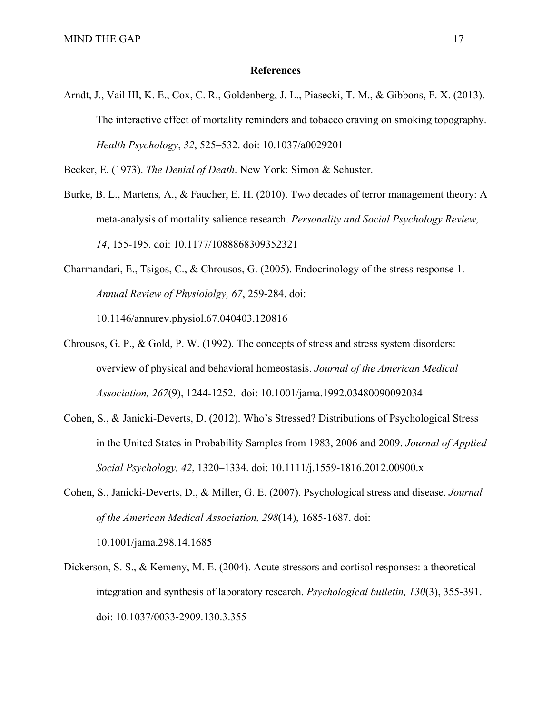#### **References**

Arndt, J., Vail III, K. E., Cox, C. R., Goldenberg, J. L., Piasecki, T. M., & Gibbons, F. X. (2013). The interactive effect of mortality reminders and tobacco craving on smoking topography. *Health Psychology*, *32*, 525–532. doi: 10.1037/a0029201

Becker, E. (1973). *The Denial of Death*. New York: Simon & Schuster.

- Burke, B. L., Martens, A., & Faucher, E. H. (2010). Two decades of terror management theory: A meta-analysis of mortality salience research. *Personality and Social Psychology Review, 14*, 155-195. doi: 10.1177/1088868309352321
- Charmandari, E., Tsigos, C., & Chrousos, G. (2005). Endocrinology of the stress response 1. *Annual Review of Physiololgy, 67*, 259-284. doi:

10.1146/annurev.physiol.67.040403.120816

- Chrousos, G. P., & Gold, P. W. (1992). The concepts of stress and stress system disorders: overview of physical and behavioral homeostasis. *Journal of the American Medical Association, 267*(9), 1244-1252. doi: 10.1001/jama.1992.03480090092034
- Cohen, S., & Janicki-Deverts, D. (2012). Who's Stressed? Distributions of Psychological Stress in the United States in Probability Samples from 1983, 2006 and 2009. *Journal of Applied Social Psychology, 42*, 1320–1334. doi: 10.1111/j.1559-1816.2012.00900.x
- Cohen, S., Janicki-Deverts, D., & Miller, G. E. (2007). Psychological stress and disease. *Journal of the American Medical Association, 298*(14), 1685-1687. doi: 10.1001/jama.298.14.1685
- Dickerson, S. S., & Kemeny, M. E. (2004). Acute stressors and cortisol responses: a theoretical integration and synthesis of laboratory research. *Psychological bulletin, 130*(3), 355-391. doi: 10.1037/0033-2909.130.3.355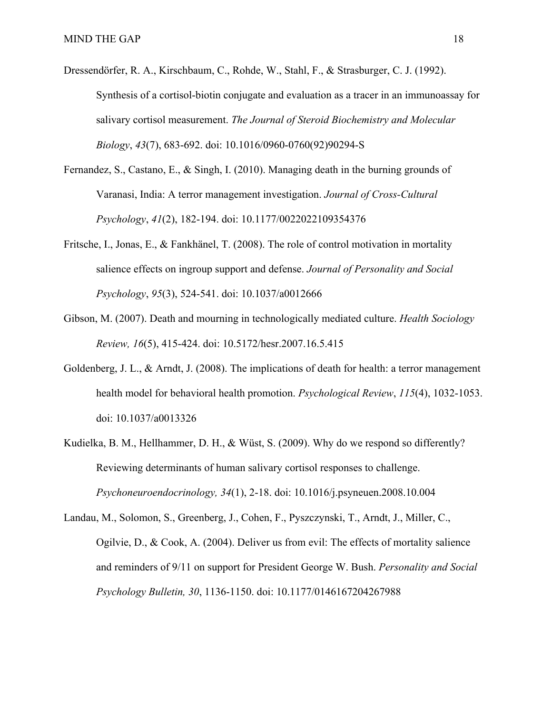- Dressendörfer, R. A., Kirschbaum, C., Rohde, W., Stahl, F., & Strasburger, C. J. (1992). Synthesis of a cortisol-biotin conjugate and evaluation as a tracer in an immunoassay for salivary cortisol measurement. *The Journal of Steroid Biochemistry and Molecular Biology*, *43*(7), 683-692. doi: 10.1016/0960-0760(92)90294-S
- Fernandez, S., Castano, E., & Singh, I. (2010). Managing death in the burning grounds of Varanasi, India: A terror management investigation. *Journal of Cross-Cultural Psychology*, *41*(2), 182-194. doi: 10.1177/0022022109354376
- Fritsche, I., Jonas, E., & Fankhänel, T. (2008). The role of control motivation in mortality salience effects on ingroup support and defense. *Journal of Personality and Social Psychology*, *95*(3), 524-541. doi: 10.1037/a0012666
- Gibson, M. (2007). Death and mourning in technologically mediated culture. *Health Sociology Review, 16*(5), 415-424. doi: 10.5172/hesr.2007.16.5.415
- Goldenberg, J. L., & Arndt, J. (2008). The implications of death for health: a terror management health model for behavioral health promotion. *Psychological Review*, *115*(4), 1032-1053. doi: 10.1037/a0013326
- Kudielka, B. M., Hellhammer, D. H., & Wüst, S. (2009). Why do we respond so differently? Reviewing determinants of human salivary cortisol responses to challenge. *Psychoneuroendocrinology, 34*(1), 2-18. doi: 10.1016/j.psyneuen.2008.10.004
- Landau, M., Solomon, S., Greenberg, J., Cohen, F., Pyszczynski, T., Arndt, J., Miller, C., Ogilvie, D., & Cook, A. (2004). Deliver us from evil: The effects of mortality salience and reminders of 9/11 on support for President George W. Bush. *Personality and Social Psychology Bulletin, 30*, 1136-1150. doi: 10.1177/0146167204267988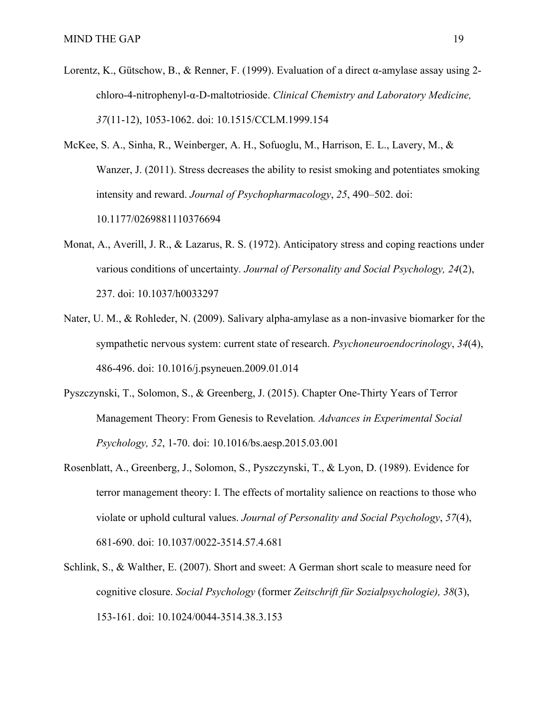- Lorentz, K., Gütschow, B., & Renner, F. (1999). Evaluation of a direct α-amylase assay using 2 chloro-4-nitrophenyl-α-D-maltotrioside. *Clinical Chemistry and Laboratory Medicine, 37*(11-12), 1053-1062. doi: 10.1515/CCLM.1999.154
- McKee, S. A., Sinha, R., Weinberger, A. H., Sofuoglu, M., Harrison, E. L., Lavery, M., & Wanzer, J. (2011). Stress decreases the ability to resist smoking and potentiates smoking intensity and reward. *Journal of Psychopharmacology*, *25*, 490–502. doi: 10.1177/0269881110376694
- Monat, A., Averill, J. R., & Lazarus, R. S. (1972). Anticipatory stress and coping reactions under various conditions of uncertainty*. Journal of Personality and Social Psychology, 24*(2), 237. doi: 10.1037/h0033297
- Nater, U. M., & Rohleder, N. (2009). Salivary alpha-amylase as a non-invasive biomarker for the sympathetic nervous system: current state of research. *Psychoneuroendocrinology*, *34*(4), 486-496. doi: 10.1016/j.psyneuen.2009.01.014
- Pyszczynski, T., Solomon, S., & Greenberg, J. (2015). Chapter One-Thirty Years of Terror Management Theory: From Genesis to Revelation*. Advances in Experimental Social Psychology, 52*, 1-70. doi: 10.1016/bs.aesp.2015.03.001
- Rosenblatt, A., Greenberg, J., Solomon, S., Pyszczynski, T., & Lyon, D. (1989). Evidence for terror management theory: I. The effects of mortality salience on reactions to those who violate or uphold cultural values. *Journal of Personality and Social Psychology*, *57*(4), 681-690. doi: 10.1037/0022-3514.57.4.681
- Schlink, S., & Walther, E. (2007). Short and sweet: A German short scale to measure need for cognitive closure. *Social Psychology* (former *Zeitschrift für Sozialpsychologie), 38*(3), 153-161. doi: 10.1024/0044-3514.38.3.153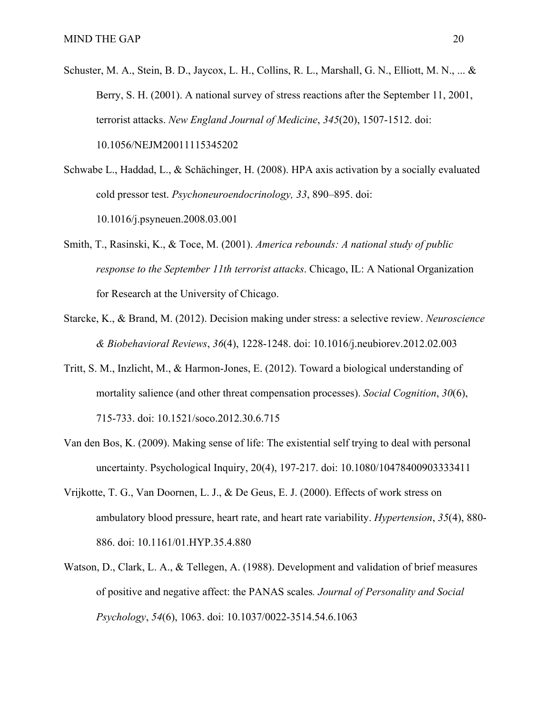- Schuster, M. A., Stein, B. D., Jaycox, L. H., Collins, R. L., Marshall, G. N., Elliott, M. N., ... & Berry, S. H. (2001). A national survey of stress reactions after the September 11, 2001, terrorist attacks. *New England Journal of Medicine*, *345*(20), 1507-1512. doi: 10.1056/NEJM20011115345202
- Schwabe L., Haddad, L., & Schächinger, H. (2008). HPA axis activation by a socially evaluated cold pressor test. *Psychoneuroendocrinology, 33*, 890–895. doi: 10.1016/j.psyneuen.2008.03.001
- Smith, T., Rasinski, K., & Toce, M. (2001). *America rebounds: A national study of public response to the September 11th terrorist attacks*. Chicago, IL: A National Organization for Research at the University of Chicago.
- Starcke, K., & Brand, M. (2012). Decision making under stress: a selective review. *Neuroscience & Biobehavioral Reviews*, *36*(4), 1228-1248. doi: 10.1016/j.neubiorev.2012.02.003
- Tritt, S. M., Inzlicht, M., & Harmon-Jones, E. (2012). Toward a biological understanding of mortality salience (and other threat compensation processes). *Social Cognition*, *30*(6), 715-733. doi: 10.1521/soco.2012.30.6.715
- Van den Bos, K. (2009). Making sense of life: The existential self trying to deal with personal uncertainty. Psychological Inquiry, 20(4), 197-217. doi: 10.1080/10478400903333411
- Vrijkotte, T. G., Van Doornen, L. J., & De Geus, E. J. (2000). Effects of work stress on ambulatory blood pressure, heart rate, and heart rate variability. *Hypertension*, *35*(4), 880- 886. doi: 10.1161/01.HYP.35.4.880
- Watson, D., Clark, L. A., & Tellegen, A. (1988). Development and validation of brief measures of positive and negative affect: the PANAS scales*. Journal of Personality and Social Psychology*, *54*(6), 1063. doi: 10.1037/0022-3514.54.6.1063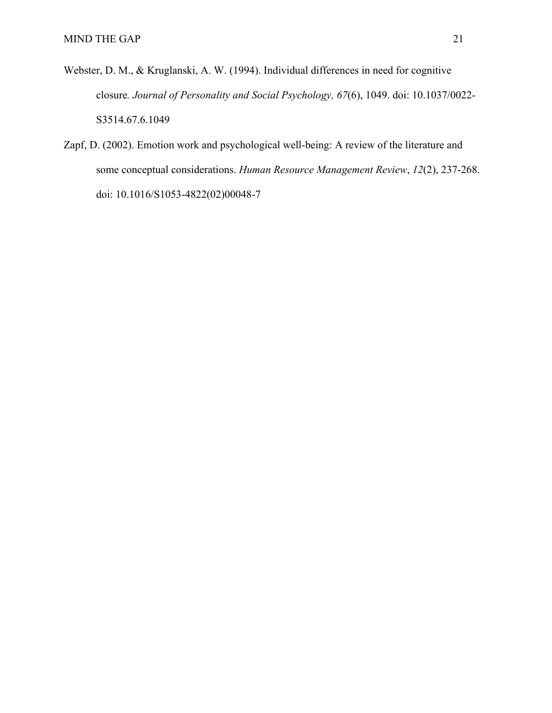- Webster, D. M., & Kruglanski, A. W. (1994). Individual differences in need for cognitive closure*. Journal of Personality and Social Psychology, 67*(6), 1049. doi: 10.1037/0022- S3514.67.6.1049
- Zapf, D. (2002). Emotion work and psychological well-being: A review of the literature and some conceptual considerations. *Human Resource Management Review*, *12*(2), 237-268. doi: 10.1016/S1053-4822(02)00048-7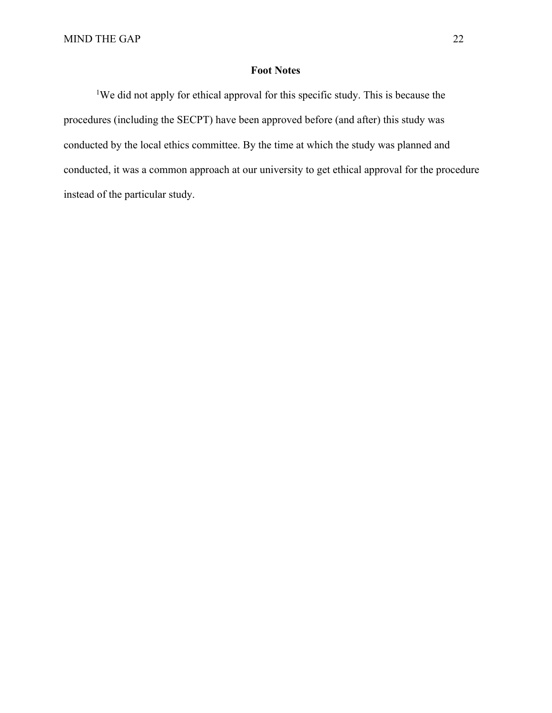## **Foot Notes**

<sup>1</sup>We did not apply for ethical approval for this specific study. This is because the procedures (including the SECPT) have been approved before (and after) this study was conducted by the local ethics committee. By the time at which the study was planned and conducted, it was a common approach at our university to get ethical approval for the procedure instead of the particular study.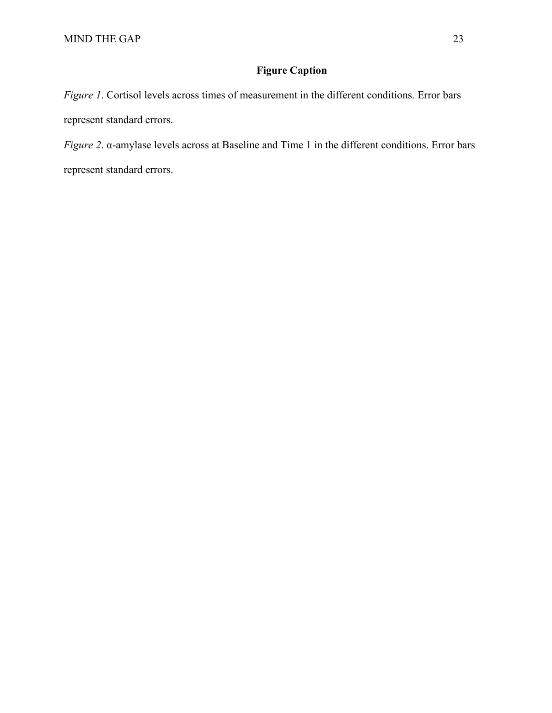## **Figure Caption**

*Figure 1*. Cortisol levels across times of measurement in the different conditions. Error bars represent standard errors.

*Figure 2*. α-amylase levels across at Baseline and Time 1 in the different conditions. Error bars represent standard errors.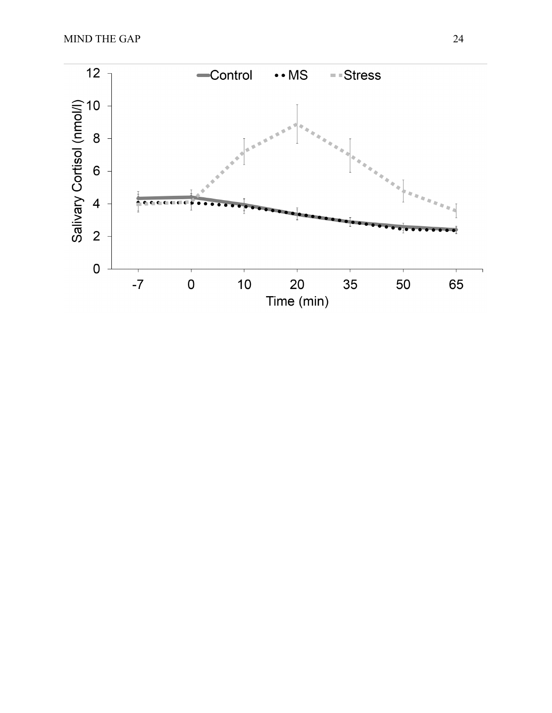MIND THE GAP 24

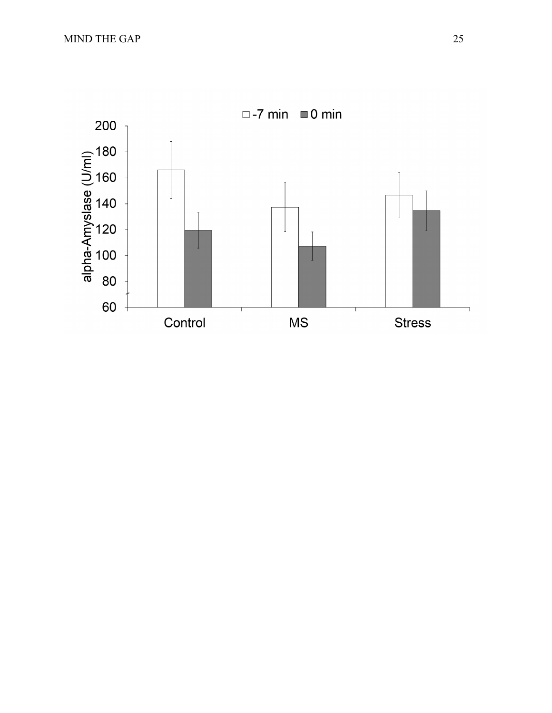